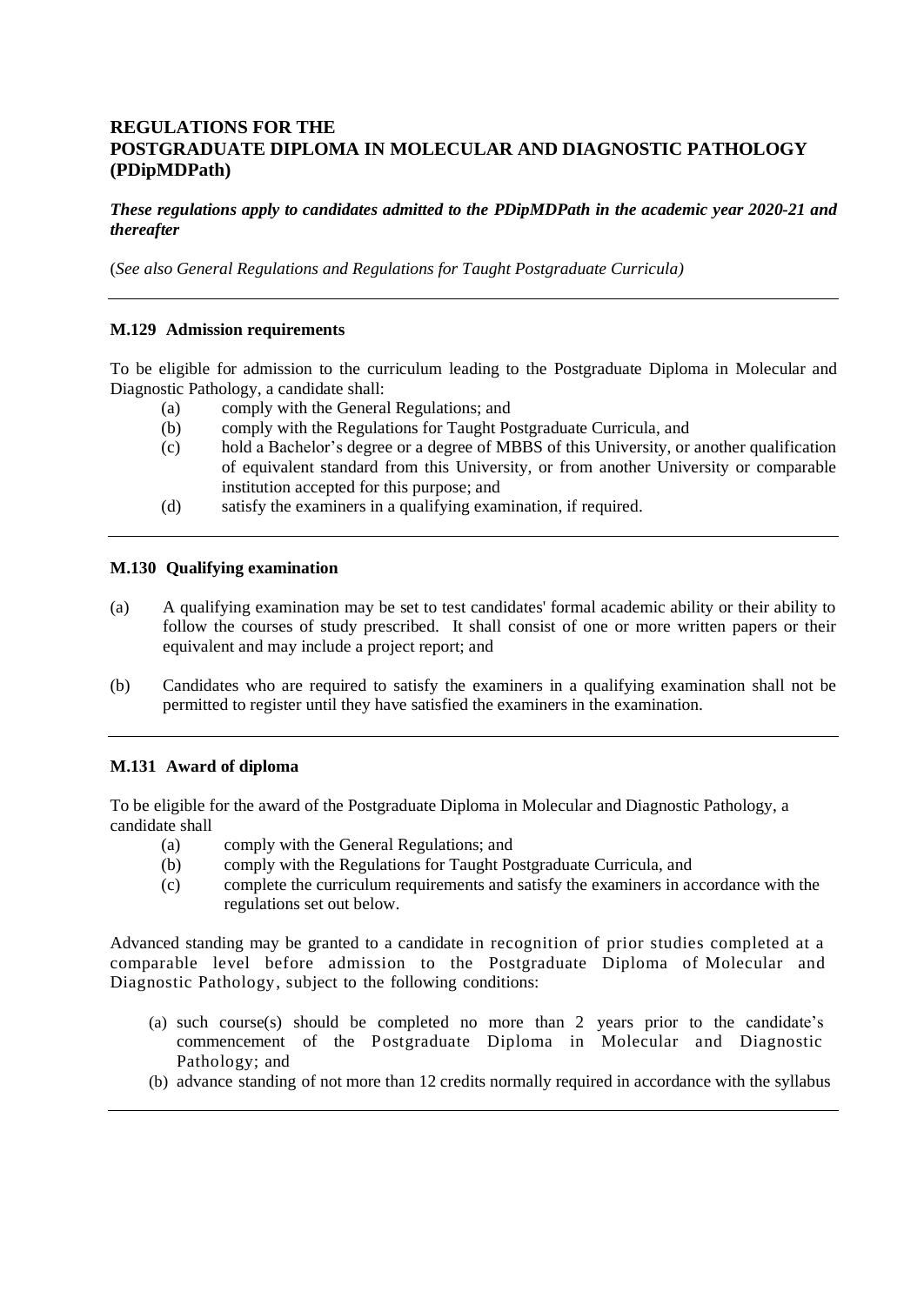# **REGULATIONS FOR THE POSTGRADUATE DIPLOMA IN MOLECULAR AND DIAGNOSTIC PATHOLOGY (PDipMDPath)**

*These regulations apply to candidates admitted to the PDipMDPath in the academic year 2020-21 and thereafter*

(*See also General Regulations and Regulations for Taught Postgraduate Curricula)*

## **M.129 Admission requirements**

To be eligible for admission to the curriculum leading to the Postgraduate Diploma in Molecular and Diagnostic Pathology, a candidate shall:

- (a) comply with the General Regulations; and
- (b) comply with the Regulations for Taught Postgraduate Curricula, and
- (c) hold a Bachelor's degree or a degree of MBBS of this University, or another qualification of equivalent standard from this University, or from another University or comparable institution accepted for this purpose; and
- (d) satisfy the examiners in a qualifying examination, if required.

## **M.130 Qualifying examination**

- (a) A qualifying examination may be set to test candidates' formal academic ability or their ability to follow the courses of study prescribed. It shall consist of one or more written papers or their equivalent and may include a project report; and
- (b) Candidates who are required to satisfy the examiners in a qualifying examination shall not be permitted to register until they have satisfied the examiners in the examination.

## **M.131 Award of diploma**

To be eligible for the award of the Postgraduate Diploma in Molecular and Diagnostic Pathology, a candidate shall

- (a) comply with the General Regulations; and
- (b) comply with the Regulations for Taught Postgraduate Curricula, and
- (c) complete the curriculum requirements and satisfy the examiners in accordance with the regulations set out below.

Advanced standing may be granted to a candidate in recognition of prior studies completed at a comparable level before admission to the Postgraduate Diploma of Molecular and Diagnostic Pathology, subject to the following conditions:

- (a) such course(s) should be completed no more than 2 years prior to the candidate's commencement of the Postgraduate Diploma in Molecular and Diagnostic Pathology; and
- (b) advance standing of not more than 12 credits normally required in accordance with the syllabus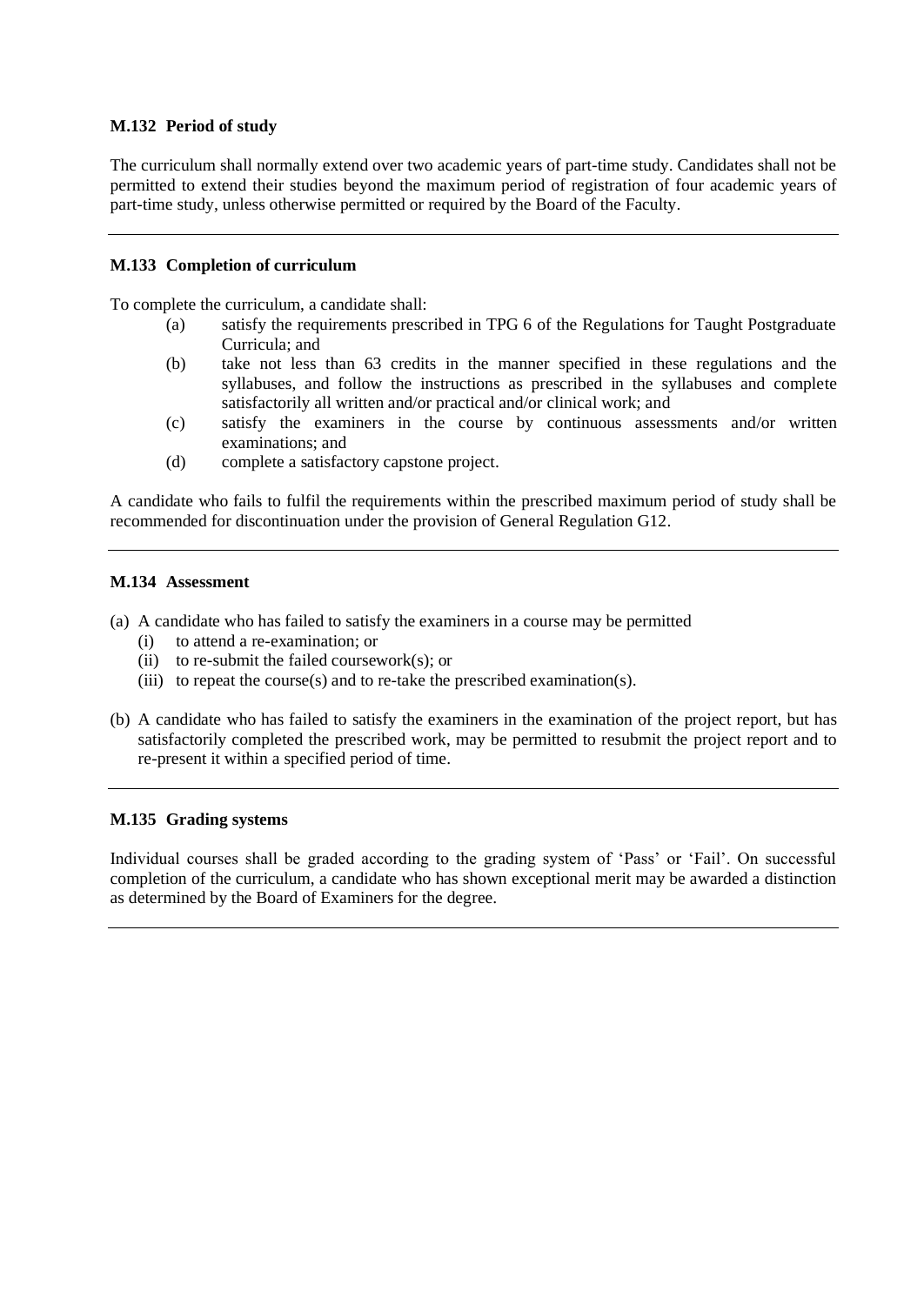## **M.132 Period of study**

The curriculum shall normally extend over two academic years of part-time study. Candidates shall not be permitted to extend their studies beyond the maximum period of registration of four academic years of part-time study, unless otherwise permitted or required by the Board of the Faculty.

## **M.133 Completion of curriculum**

To complete the curriculum, a candidate shall:

- (a) satisfy the requirements prescribed in TPG 6 of the Regulations for Taught Postgraduate Curricula; and
- (b) take not less than 63 credits in the manner specified in these regulations and the syllabuses, and follow the instructions as prescribed in the syllabuses and complete satisfactorily all written and/or practical and/or clinical work; and
- (c) satisfy the examiners in the course by continuous assessments and/or written examinations; and
- (d) complete a satisfactory capstone project.

A candidate who fails to fulfil the requirements within the prescribed maximum period of study shall be recommended for discontinuation under the provision of General Regulation G12.

## **M.134 Assessment**

- (a) A candidate who has failed to satisfy the examiners in a course may be permitted
	- (i) to attend a re-examination; or
	- (ii) to re-submit the failed coursework(s); or
	- (iii) to repeat the course(s) and to re-take the prescribed examination(s).
- (b) A candidate who has failed to satisfy the examiners in the examination of the project report, but has satisfactorily completed the prescribed work, may be permitted to resubmit the project report and to re-present it within a specified period of time.

## **M.135 Grading systems**

Individual courses shall be graded according to the grading system of 'Pass' or 'Fail'. On successful completion of the curriculum, a candidate who has shown exceptional merit may be awarded a distinction as determined by the Board of Examiners for the degree.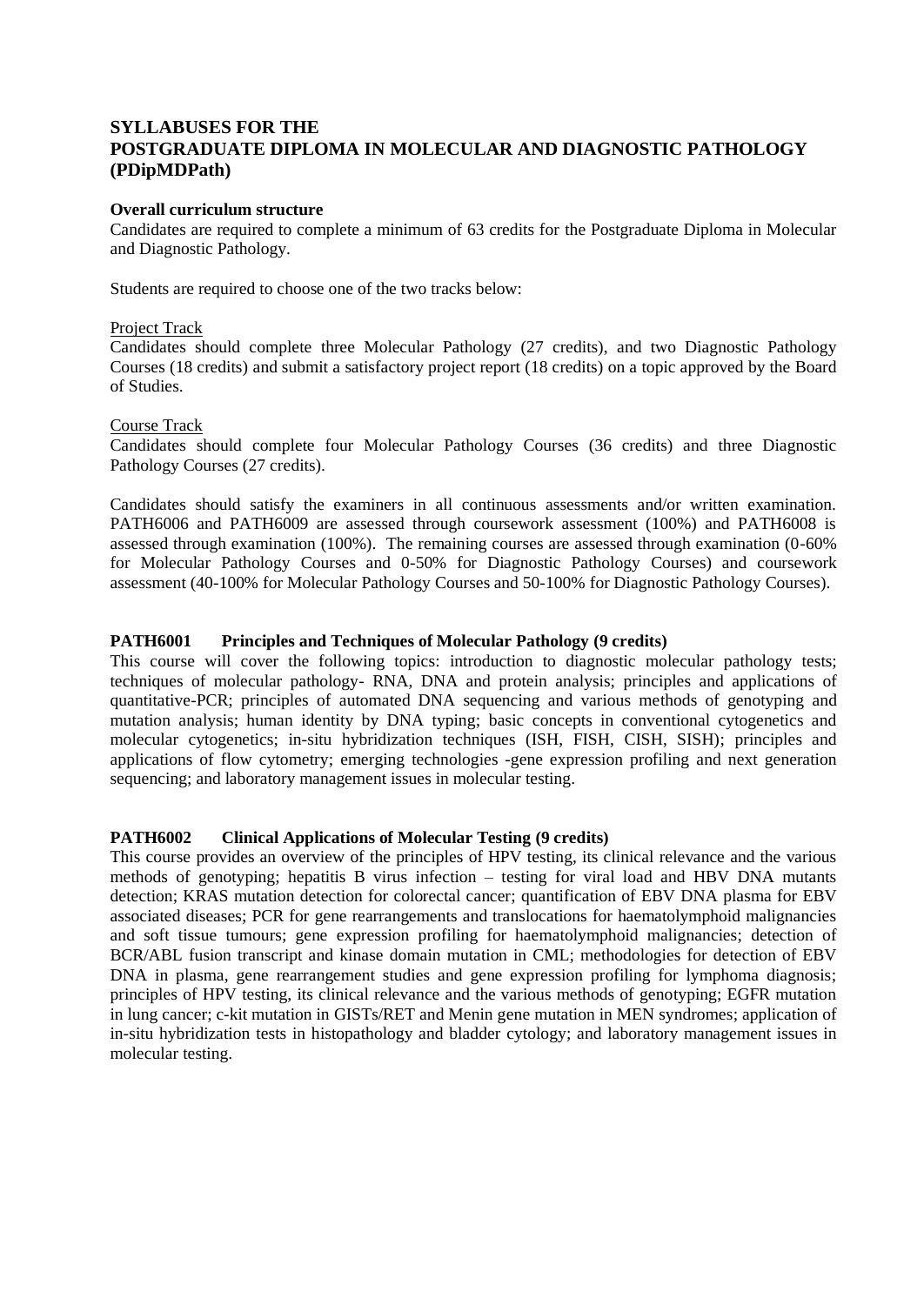# **SYLLABUSES FOR THE POSTGRADUATE DIPLOMA IN MOLECULAR AND DIAGNOSTIC PATHOLOGY (PDipMDPath)**

## **Overall curriculum structure**

Candidates are required to complete a minimum of 63 credits for the Postgraduate Diploma in Molecular and Diagnostic Pathology.

Students are required to choose one of the two tracks below:

## Project Track

Candidates should complete three Molecular Pathology (27 credits), and two Diagnostic Pathology Courses (18 credits) and submit a satisfactory project report (18 credits) on a topic approved by the Board of Studies.

## Course Track

Candidates should complete four Molecular Pathology Courses (36 credits) and three Diagnostic Pathology Courses (27 credits).

Candidates should satisfy the examiners in all continuous assessments and/or written examination. PATH6006 and PATH6009 are assessed through coursework assessment (100%) and PATH6008 is assessed through examination (100%). The remaining courses are assessed through examination (0-60% for Molecular Pathology Courses and 0-50% for Diagnostic Pathology Courses) and coursework assessment (40-100% for Molecular Pathology Courses and 50-100% for Diagnostic Pathology Courses).

## **PATH6001 Principles and Techniques of Molecular Pathology (9 credits)**

This course will cover the following topics: introduction to diagnostic molecular pathology tests; techniques of molecular pathology- RNA, DNA and protein analysis; principles and applications of quantitative-PCR; principles of automated DNA sequencing and various methods of genotyping and mutation analysis; human identity by DNA typing; basic concepts in conventional cytogenetics and molecular cytogenetics; in-situ hybridization techniques (ISH, FISH, CISH, SISH); principles and applications of flow cytometry; emerging technologies -gene expression profiling and next generation sequencing; and laboratory management issues in molecular testing.

## **PATH6002 Clinical Applications of Molecular Testing (9 credits)**

This course provides an overview of the principles of HPV testing, its clinical relevance and the various methods of genotyping; hepatitis B virus infection – testing for viral load and HBV DNA mutants detection; KRAS mutation detection for colorectal cancer; quantification of EBV DNA plasma for EBV associated diseases; PCR for gene rearrangements and translocations for haematolymphoid malignancies and soft tissue tumours; gene expression profiling for haematolymphoid malignancies; detection of BCR/ABL fusion transcript and kinase domain mutation in CML; methodologies for detection of EBV DNA in plasma, gene rearrangement studies and gene expression profiling for lymphoma diagnosis; principles of HPV testing, its clinical relevance and the various methods of genotyping; EGFR mutation in lung cancer; c-kit mutation in GISTs/RET and Menin gene mutation in MEN syndromes; application of in-situ hybridization tests in histopathology and bladder cytology; and laboratory management issues in molecular testing.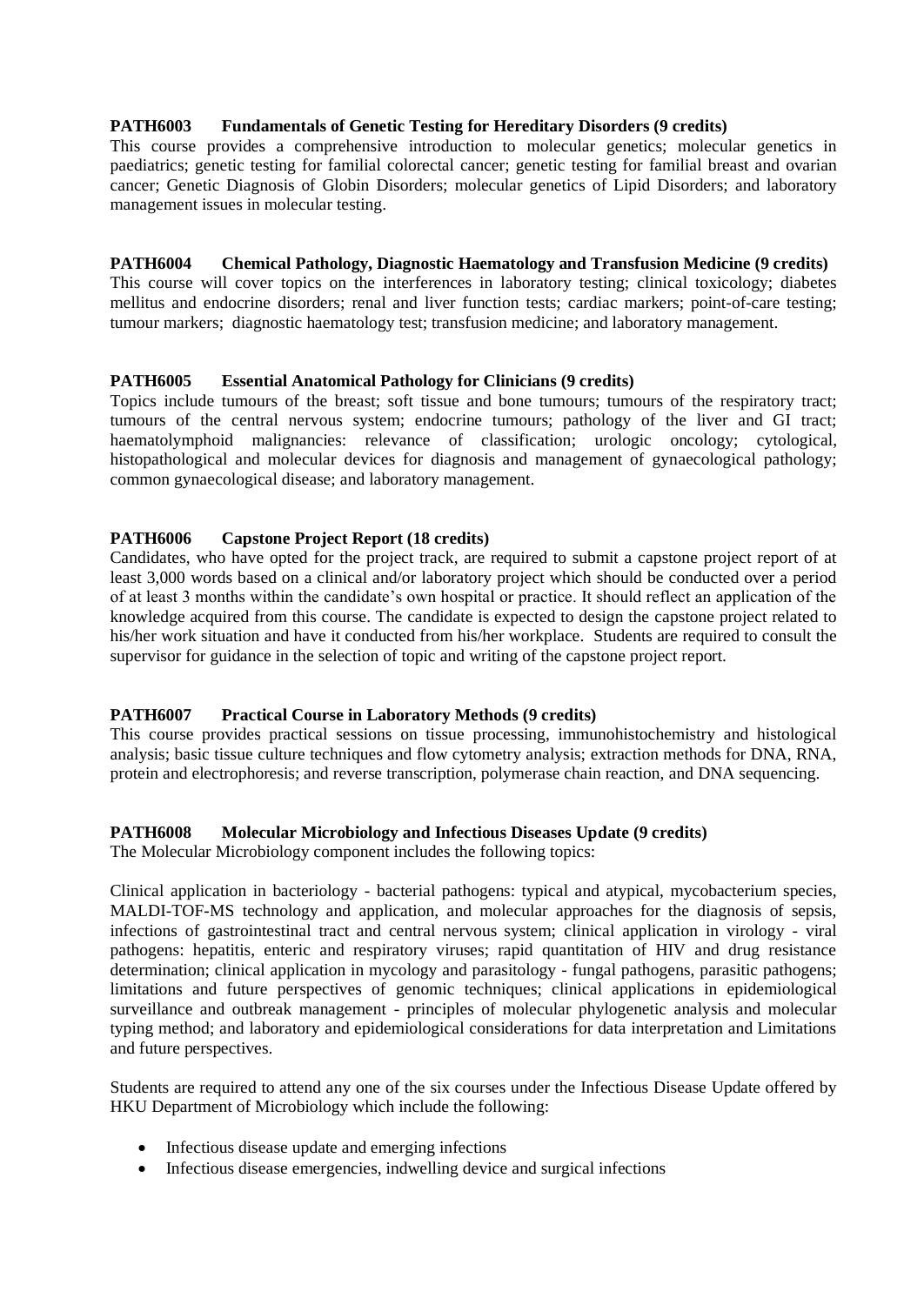## **PATH6003 Fundamentals of Genetic Testing for Hereditary Disorders (9 credits)**

This course provides a comprehensive introduction to molecular genetics; molecular genetics in paediatrics; genetic testing for familial colorectal cancer; genetic testing for familial breast and ovarian cancer; Genetic Diagnosis of Globin Disorders; molecular genetics of Lipid Disorders; and laboratory management issues in molecular testing.

## **PATH6004 Chemical Pathology, Diagnostic Haematology and Transfusion Medicine (9 credits)**

This course will cover topics on the interferences in laboratory testing; clinical toxicology; diabetes mellitus and endocrine disorders; renal and liver function tests; cardiac markers; point-of-care testing; tumour markers; diagnostic haematology test; transfusion medicine; and laboratory management.

## **PATH6005 Essential Anatomical Pathology for Clinicians (9 credits)**

Topics include tumours of the breast; soft tissue and bone tumours; tumours of the respiratory tract; tumours of the central nervous system; endocrine tumours; pathology of the liver and GI tract; haematolymphoid malignancies: relevance of classification; urologic oncology; cytological, histopathological and molecular devices for diagnosis and management of gynaecological pathology; common gynaecological disease; and laboratory management.

## **PATH6006 Capstone Project Report (18 credits)**

Candidates, who have opted for the project track, are required to submit a capstone project report of at least 3,000 words based on a clinical and/or laboratory project which should be conducted over a period of at least 3 months within the candidate's own hospital or practice. It should reflect an application of the knowledge acquired from this course. The candidate is expected to design the capstone project related to his/her work situation and have it conducted from his/her workplace. Students are required to consult the supervisor for guidance in the selection of topic and writing of the capstone project report.

## **PATH6007 Practical Course in Laboratory Methods (9 credits)**

This course provides practical sessions on tissue processing, immunohistochemistry and histological analysis; basic tissue culture techniques and flow cytometry analysis; extraction methods for DNA, RNA, protein and electrophoresis; and reverse transcription, polymerase chain reaction, and DNA sequencing.

## **PATH6008 Molecular Microbiology and Infectious Diseases Update (9 credits)**

The Molecular Microbiology component includes the following topics:

Clinical application in bacteriology - bacterial pathogens: typical and atypical, mycobacterium species, MALDI-TOF-MS technology and application, and molecular approaches for the diagnosis of sepsis, infections of gastrointestinal tract and central nervous system; clinical application in virology - viral pathogens: hepatitis, enteric and respiratory viruses; rapid quantitation of HIV and drug resistance determination; clinical application in mycology and parasitology - fungal pathogens, parasitic pathogens; limitations and future perspectives of genomic techniques; clinical applications in epidemiological surveillance and outbreak management - principles of molecular phylogenetic analysis and molecular typing method; and laboratory and epidemiological considerations for data interpretation and Limitations and future perspectives.

Students are required to attend any one of the six courses under the Infectious Disease Update offered by HKU Department of Microbiology which include the following:

- Infectious disease update and emerging infections
- Infectious disease emergencies, indwelling device and surgical infections